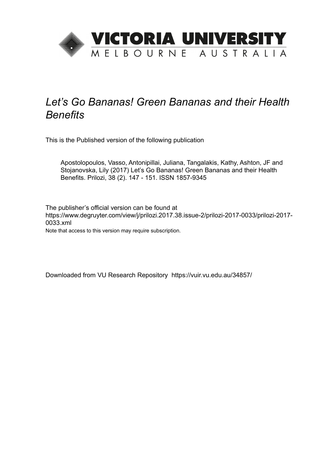

# *Let's Go Bananas! Green Bananas and their Health Benefits*

This is the Published version of the following publication

Apostolopoulos, Vasso, Antonipillai, Juliana, Tangalakis, Kathy, Ashton, JF and Stojanovska, Lily (2017) Let's Go Bananas! Green Bananas and their Health Benefits. Prilozi, 38 (2). 147 - 151. ISSN 1857-9345

The publisher's official version can be found at https://www.degruyter.com/view/j/prilozi.2017.38.issue-2/prilozi-2017-0033/prilozi-2017- 0033.xml Note that access to this version may require subscription.

Downloaded from VU Research Repository https://vuir.vu.edu.au/34857/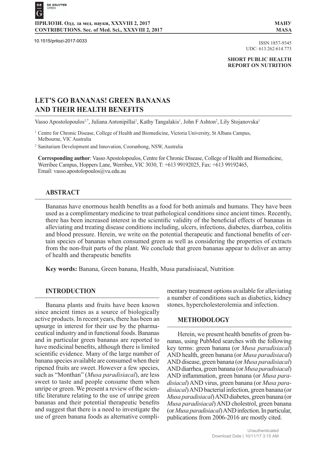10.1515/prilozi-2017-0033

ISSN 1857-9345 UDC: 613.262:614.773

**SHORT PUBLIC HEALTH REPORT ON NUTRITION**

## **LET'S GO BANANAS! GREEN BANANAS AND THEIR HEALTH BENEFITS**

Vasso Apostolopoulos<sup>1,\*</sup>, Juliana Antonipillai<sup>1</sup>, Kathy Tangalakis<sup>1</sup>, John F Ashton<sup>2</sup>, Lily Stojanovska<sup>1</sup>

<sup>1</sup> Centre for Chronic Disease, College of Health and Biomedicine, Victoria University, St Albans Campus, Melbourne, VIC Australia

<sup>2</sup> Sanitarium Development and Innovation, Cooranbong, NSW, Australia

 **Corresponding author**: Vasso Apostolopoulos, Centre for Chronic Disease, College of Health and Biomedicine, Werribee Campus, Hoppers Lane, Werribee, VIC 3030, T: +613 99192025, Fax: +613 99192465, Email: vasso.apostolopoulos@vu.edu.au

## **Abstract**

Bananas have enormous health benefits as a food for both animals and humans. They have been used as a complimentary medicine to treat pathological conditions since ancient times. Recently, there has been increased interest in the scientific validity of the beneficial effects of bananas in alleviating and treating disease conditions including, ulcers, infections, diabetes, diarrhea, colitis and blood pressure. Herein, we write on the potential therapeutic and functional benefits of certain species of bananas when consumed green as well as considering the properties of extracts from the non-fruit parts of the plant. We conclude that green bananas appear to deliver an array of health and therapeutic benefits

**Key words:** Banana, Green banana, Health, Musa paradisiacal, Nutrition

## **Introduction**

Banana plants and fruits have been known since ancient times as a source of biologically active products. In recent years, there has been an upsurge in interest for their use by the pharmaceutical industry and in functional foods. Bananas and in particular green bananas are reported to have medicinal benefits, although there is limited scientific evidence. Many of the large number of banana species available are consumed when their ripened fruits are sweet. However a few species, such as "Monthan" (*Musa paradisiacal*), are less sweet to taste and people consume them when unripe or green. We present a review of the scientific literature relating to the use of unripe green bananas and their potential therapeutic benefits and suggest that there is a need to investigate the use of green banana foods as alternative complimentary treatment options available for alleviating a number of conditions such as diabetics, kidney stones, hypercholesterolemia and infection.

## **Methodology**

Herein, we present health benefits of green bananas, using PubMed searches with the following key terms: green banana (or *Musa paradisiacal*) AND health, green banana (or *Musa paradisiacal*) AND disease, green banana (or *Musa paradisiacal*) AND diarrhea, green banana (or *Musa paradisiacal*) AND inflammation, green banana (or *Musa paradisiacal*) AND virus, green banana (or *Musa paradisiacal*) AND bacterial infection, green banana (or *Musa paradisiacal*) AND diabetes, green banana (or *Musa paradisiacal*) AND cholestrol, green banana (or *Musa paradisiacal*) AND infection. In particular, publications from 2006-2016 are mostly cited.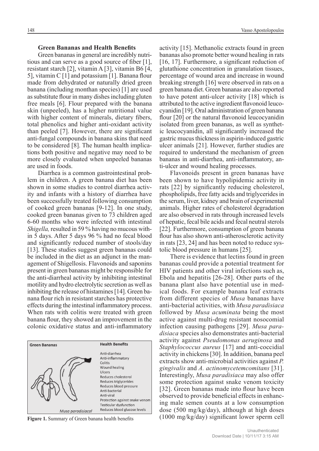#### **Green Bananas and Health Benefits**

Green bananas in general are incredibly nutritious and can serve as a good source of fiber [1], resistant starch [2], vitamin A [3], vitamin B6 [4, 5], vitamin C [1] and potassium [1]. Banana flour made from dehydrated or naturally dried green banana (including monthan species) [1] are used as substitute flour in many dishes including gluten free meals [6]. Flour prepared with the banana skin (unpeeled), has a higher nutritional value with higher content of minerals, dietary fibers, total phenolics and higher anti-oxidant activity than peeled [7]. However, there are significant anti-fungal compounds in banana skins that need to be considered [8]. The human health implications both positive and negative may need to be more closely evaluated when unpeeled bananas are used in foods.

Diarrhea is a common gastrointestinal problem in children. A green banana diet has been shown in some studies to control diarrhea activity and infants with a history of diarrhea have been successfully treated following consumption of cooked green bananas [9-12]. In one study, cooked green bananas given to 73 children aged 6-60 months who were infected with intestinal *Shigella,* resulted in 59 % having no mucous within 5 days. After 5 days 96 % had no fecal blood and significantly reduced number of stools/day [13]. These studies suggest green bananas could be included in the diet as an adjunct in the management of Shigellosis. Flavonoids and saponins present in green bananas might be responsible for the anti-diarrheal activity by inhibiting intestinal motility and hydro electrolytic secretion as well as inhibiting the release of histamines [14]. Green banana flour rich in resistant starches has protective effects during the intestinal inflammatory process. When rats with colitis were treated with green banana flour, they showed an improvement in the colonic oxidative status and anti-inflammatory



activity [15]. Methanolic extracts found in green bananas also promote better wound healing in rats [16, 17]. Furthermore, a significant reduction of glutathione concentration in granulation tissues, percentage of wound area and increase in wound breaking strength [16] were observed in rats on a green banana diet. Green bananas are also reported to have potent anti-ulcer activity [18] which is attributed to the active ingredient flavonoid leucocyanidin [19]. Oral administration of green banana flour [20] or the natural flavonoid leucocyanidin isolated from green bananas, as well as synthetic leucocyanidin, all significantly increased the gastric mucus thickness in aspirin-induced gastric ulcer animals [21]. However, further studies are required to understand the mechanism of green

ti-ulcer and wound healing processes. Flavonoids present in green bananas have been shown to have hypolipidemic activity in rats [22] by significantly reducing cholesterol, phospholipids, free fatty acids and triglycerides in the serum, liver, kidney and brain of experimental animals. Higher rates of cholesterol degradation are also observed in rats through increased levels of hepatic, fecal bile acids and fecal neutral sterols [22]. Furthermore, consumption of green banana flour has also shown anti-atherosclerotic activity in rats [23, 24] and has been noted to reduce systolic blood pressure in humans [25].

bananas in anti-diarrhea, anti-inflammatory, an-

There is evidence that lectins found in green bananas could provide a potential treatment for HIV patients and other viral infections such as, Ebola and hepatitis [26-28]. Other parts of the banana plant also have potential use in medical foods. For example banana leaf extracts from different species of *Musa* bananas have anti-bacterial activities, with *Musa paradisiaca* followed by *Musa acuminata* being the most active against multi-drug resistant nosocomial infection causing pathogens [29]. *Musa paradisiaca* species also demonstrates anti-bacterial activity against *Pseudomonas aeruginosa* and *Staphylococcus aureus* [17] and anti-coccidial activity in chickens [30]. In addition, banana peel extracts show anti-microbial activities against *P. gingivalis* and *A. actinomycetemcomitans* [31]. Interestingly, *Musa paradisiaca* may also offer some protection against snake venom toxicity [32]. Green bananas made into flour have been observed to provide beneficial effects in enhancing male semen counts at a low consumption dose (500 mg/kg/day), although at high doses Figure 1. Summary of Green banana health benefits (1000 mg/kg/day) significant lower sperm cell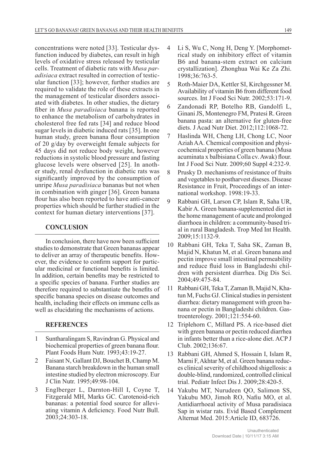concentrations were noted [33]. Testicular dysfunction induced by diabetes, can result in high levels of oxidative stress released by testicular cells. Treatment of diabetic rats with *Musa paradisiaca* extract resulted in correction of testicular function [33]; however, further studies are required to validate the role of these extracts in the management of testicular disorders associated with diabetes. In other studies, the dietary fiber in *Musa paradisiaca* banana is reported to enhance the metabolism of carbohydrates in cholesterol free fed rats [34] and reduce blood sugar levels in diabetic induced rats [35]. In one human study, green banana flour consumption of 20 g/day by overweight female subjects for 45 days did not reduce body weight, however reductions in systolic blood pressure and fasting glucose levels were observed [25]. In another study, renal dysfunction in diabetic rats was significantly improved by the consumption of unripe *Musa paradisiaca* bananas but not when in combination with ginger [36]. Green banana flour has also been reported to have anti-cancer properties which should be further studied in the context for human dietary interventions [37].

## **Conclusion**

In conclusion, there have now been sufficient studies to demonstrate that Green bananas appear to deliver an array of therapeutic benefits. However, the evidence to confirm support for particular medicinal or functional benefits is limited. In addition, certain benefits may be restricted to a specific species of banana. Further studies are therefore required to substantiate the benefits of specific banana species on disease outcomes and health, including their effects on immune cells as well as elucidating the mechanisms of actions.

## **References**

- 1 Suntharalingam S, Ravindran G. Physical and biochemical properties of green banana flour. Plant Foods Hum Nutr. 1993;43:19-27.
- 2 Faisant N, Gallant DJ, Bouchet B, Champ M. Banana starch breakdown in the human small intestine studied by electron microscopy. Eur J Clin Nutr. 1995;49:98-104.
- 3 Englberger L, Darnton-Hill I, Coyne T, Fitzgerald MH, Marks GC. Carotenoid-rich bananas: a potential food source for alleviating vitamin A deficiency. Food Nutr Bull. 2003;24:303-18.
- 4 Li S, Wu C, Nong H, Deng Y. [Morphometrical study on inhibitory effect of vitamin B6 and banana-stem extract on calcium crystallization]. Zhonghua Wai Ke Za Zhi. 1998;36:763-5.
- 5 Roth-Maier DA, Kettler SI, Kirchgessner M. Availability of vitamin B6 from different food sources. Int J Food Sci Nutr. 2002;53:171-9.
- 6 Zandonadi RP, Botelho RB, Gandolfi L, Ginani JS, Montenegro FM, Pratesi R. Green banana pasta: an alternative for gluten-free diets. J Acad Nutr Diet. 2012;112:1068-72.
- 7 Haslinda WH, Cheng LH, Chong LC, Noor Aziah AA. Chemical composition and physicochemical properties of green banana (Musa acuminata x balbisiana Colla cv. Awak) flour. Int J Food Sci Nutr. 2009;60 Suppl 4:232-9.
- 8 Prusky D. mechanisms of resistance of fruits and vegetables to postharvest diseses. Disease Resistance in Fruit, Proceedings of an international workshop. 1998:19-33.
- 9 Rabbani GH, Larson CP, Islam R, Saha UR, Kabir A. Green banana-supplemented diet in the home management of acute and prolonged diarrhoea in children: a community-based trial in rural Bangladesh. Trop Med Int Health. 2009;15:1132-9.
- 10 Rabbani GH, Teka T, Saha SK, Zaman B, Majid N, Khatun M, et al. Green banana and pectin improve small intestinal permeability and reduce fluid loss in Bangladeshi children with persistent diarrhea. Dig Dis Sci. 2004;49:475-84.
- 11 Rabbani GH, Teka T, Zaman B, Majid N, Khatun M, Fuchs GJ. Clinical studies in persistent diarrhea: dietary management with green banana or pectin in Bangladeshi children. Gastroenterology. 2001;121:554-60.
- 12 Triplehorn C, Millard PS. A rice-based diet with green banana or pectin reduced diarrhea in infants better than a rice-alone diet. ACP J Club. 2002;136:67.
- 13 Rabbani GH, Ahmed S, Hossain I, Islam R, Marni F, Akhtar M, et al. Green banana reduces clinical severity of childhood shigellosis: a double-blind, randomized, controlled clinical trial. Pediatr Infect Dis J. 2009;28:420-5.
- 14 Yakubu MT, Nurudeen QO, Salimon SS, Yakubu MO, Jimoh RO, Nafiu MO, et al. Antidiarrhoeal activity of Musa paradisiaca Sap in wistar rats. Evid Based Complement Alternat Med. 2015:Article ID, 683726.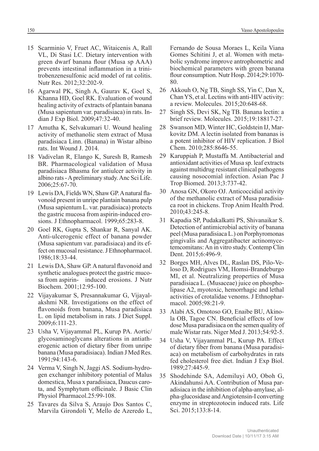- 15 Scarminio V, Fruet AC, Witaicenis A, Rall VL, Di Stasi LC. Dietary intervention with green dwarf banana flour (Musa sp AAA) prevents intestinal inflammation in a trinitrobenzenesulfonic acid model of rat colitis. Nutr Res. 2012;32:202-9.
- 16 Agarwal PK, Singh A, Gaurav K, Goel S, Khanna HD, Goel RK. Evaluation of wound healing activity of extracts of plantain banana (Musa sapientum var. paradisiaca) in rats. Indian J Exp Biol. 2009;47:32-40.
- 17 Amutha K, Selvakumari U. Wound healing activity of methanolic stem extract of Musa paradisiaca Linn. (Banana) in Wistar albino rats. Int Wound J. 2014.
- 18 Vadivelan R, Elango K, Suresh B, Ramesh BR. Pharmacological validation of Musa paradisiaca Bhasma for antiulcer activity in albino rats - A preliminary study. Anc Sci Life. 2006;25:67-70.
- 19 Lewis DA, Fields WN, Shaw GP. A natural flavonoid present in unripe plantain banana pulp (Musa sapientum L. var. paradisiaca) protects the gastric mucosa from aspirin-induced erosions. J Ethnopharmacol. 1999;65:283-8.
- 20 Goel RK, Gupta S, Shankar R, Sanyal AK. Anti-ulcerogenic effect of banana powder (Musa sapientum var. paradisiaca) and its effect on mucosal resistance. J Ethnopharmacol. 1986;18:33-44.
- 21 Lewis DA, Shaw GP. A natural flavonoid and synthetic analogues protect the gastric mucosa from aspirin- induced erosions. J Nutr Biochem. 2001;12:95-100.
- 22 Vijayakumar S, Presannakumar G, Vijayalakshmi NR. Investigations on the effect of flavonoids from banana, Musa paradisiaca L. on lipid metabolism in rats. J Diet Suppl. 2009;6:111-23.
- 23 Usha V, Vijayammal PL, Kurup PA. Aortic/ glycosaminoglycans alterations in antiatherogenic action of dietary fiber from unripe banana (Musa paradisiaca). Indian J Med Res. 1991;94:143-6.
- 24 Verma V, Singh N, Jaggi AS. Sodium-hydrogen exchanger inhibitory potential of Malus domestica, Musa x paradisiaca, Daucus carota, and Symphytum officinale. J Basic Clin Physiol Pharmacol.25:99-108.
- 25 Tavares da Silva S, Araujo Dos Santos C, Marvila Girondoli Y, Mello de Azeredo L,

Fernando de Sousa Moraes L, Keila Viana Gomes Schitini J, et al. Women with metabolic syndrome improve antrophometric and biochemical parameters with green banana flour consumption. Nutr Hosp. 2014;29:1070- 80.

- 26 Akkouh O, Ng TB, Singh SS, Yin C, Dan X, Chan YS, et al. Lectins with anti-HIV activity: a review. Molecules. 2015;20:648-68.
- 27 Singh SS, Devi SK, Ng TB. Banana lectin: a brief review. Molecules. 2015;19:18817-27.
- 28 Swanson MD, Winter HC, Goldstein IJ, Markovitz DM. A lectin isolated from bananas is a potent inhibitor of HIV replication. J Biol Chem. 2010;285:8646-55.
- 29 Karuppiah P, Mustaffa M. Antibacterial and antioxidant activities of Musa sp. leaf extracts against multidrug resistant clinical pathogens causing nosocomial infection. Asian Pac J Trop Biomed. 2013;3:737-42.
- 30 Anosa GN, Okoro OJ. Anticoccidial activity of the methanolic extract of Musa paradisiaca root in chickens. Trop Anim Health Prod. 2010;43:245-8.
- 31 Kapadia SP, Pudakalkatti PS, Shivanaikar S. Detection of antimicrobial activity of banana peel (Musa paradisiaca L.) on Porphyromonas gingivalis and Aggregatibacter actinomycetemcomitans: An in vitro study. Contemp Clin Dent. 2015;6:496-9.
- 32 Borges MH, Alves DL, Raslan DS, Pilo-Veloso D, Rodrigues VM, Homsi-Brandeburgo MI, et al. Neutralizing properties of Musa paradisiaca L. (Musaceae) juice on phospholipase A2, myotoxic, hemorrhagic and lethal activities of crotalidae venoms. J Ethnopharmacol. 2005;98:21-9.
- 33 Alabi AS, Omotoso GO, Enaibe BU, Akinola OB, Tagoe CN. Beneficial effects of low dose Musa paradisiaca on the semen quality of male Wistar rats. Niger Med J. 2013;54:92-5.
- 34 Usha V, Vijayammal PL, Kurup PA. Effect of dietary fiber from banana (Musa paradisiaca) on metabolism of carbohydrates in rats fed cholesterol free diet. Indian J Exp Biol. 1989;27:445-9.
- 35 Shodehinde SA, Ademiluyi AO, Oboh G, Akindahunsi AA. Contribution of Musa paradisiaca in the inhibition of alpha-amylase, alpha-glucosidase and Angiotensin-I converting enzyme in streptozotocin induced rats. Life Sci. 2015;133:8-14.